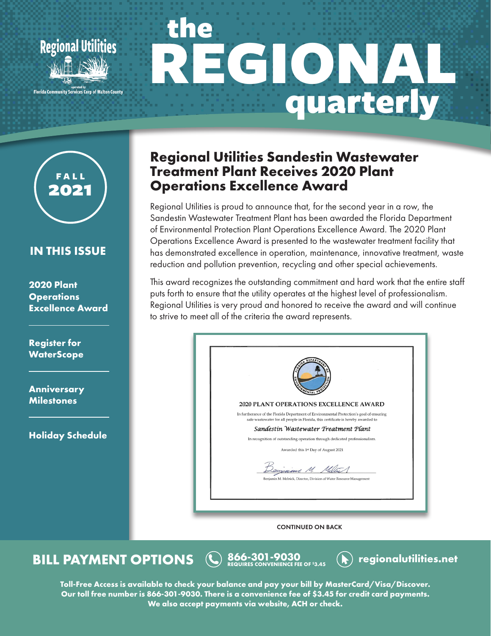





### **IN THIS ISSUE**

**2020 Plant Operations Excellence Award**

**Register for WaterScope**

**Anniversary Milestones**

**Holiday Schedule**

# **Regional Utilities Sandestin Wastewater Treatment Plant Receives 2020 Plant Operations Excellence Award**

Regional Utilities is proud to announce that, for the second year in a row, the Sandestin Wastewater Treatment Plant has been awarded the Florida Department of Environmental Protection Plant Operations Excellence Award. The 2020 Plant Operations Excellence Award is presented to the wastewater treatment facility that has demonstrated excellence in operation, maintenance, innovative treatment, waste reduction and pollution prevention, recycling and other special achievements.

This award recognizes the outstanding commitment and hard work that the entire staff puts forth to ensure that the utility operates at the highest level of professionalism. Regional Utilities is very proud and honored to receive the award and will continue to strive to meet all of the criteria the award represents.

| <b>DEPA</b><br><b>AFNTA</b>                                                                                                                                                 |
|-----------------------------------------------------------------------------------------------------------------------------------------------------------------------------|
| <b>2020 PLANT OPERATIONS EXCELLENCE AWARD</b>                                                                                                                               |
| In furtherance of the Florida Department of Environmental Protection's goal of ensuring<br>safe wastewater for all people in Florida, this certificate is hereby awarded to |
| Sandestin Wastewater Treatment Plant                                                                                                                                        |
| In recognition of outstanding operation through dedicated professionalism.                                                                                                  |
| Awarded this 1st Day of August 2021                                                                                                                                         |
| Douziene M. Milli<br>Benjamin M. Melnick, Director, Division of Water Resource Management                                                                                   |
|                                                                                                                                                                             |

CONTINUED ON BACK

**BILL PAYMENT OPTIONS**  $\bigotimes$  866-301-9030 **(A)** regionalutilities.net

**Toll-Free Access is available to check your balance and pay your bill by MasterCard/Visa/Discover. Our toll free number is 866-301-9030. There is a convenience fee of \$3.45 for credit card payments. We also accept payments via website, ACH or check.**